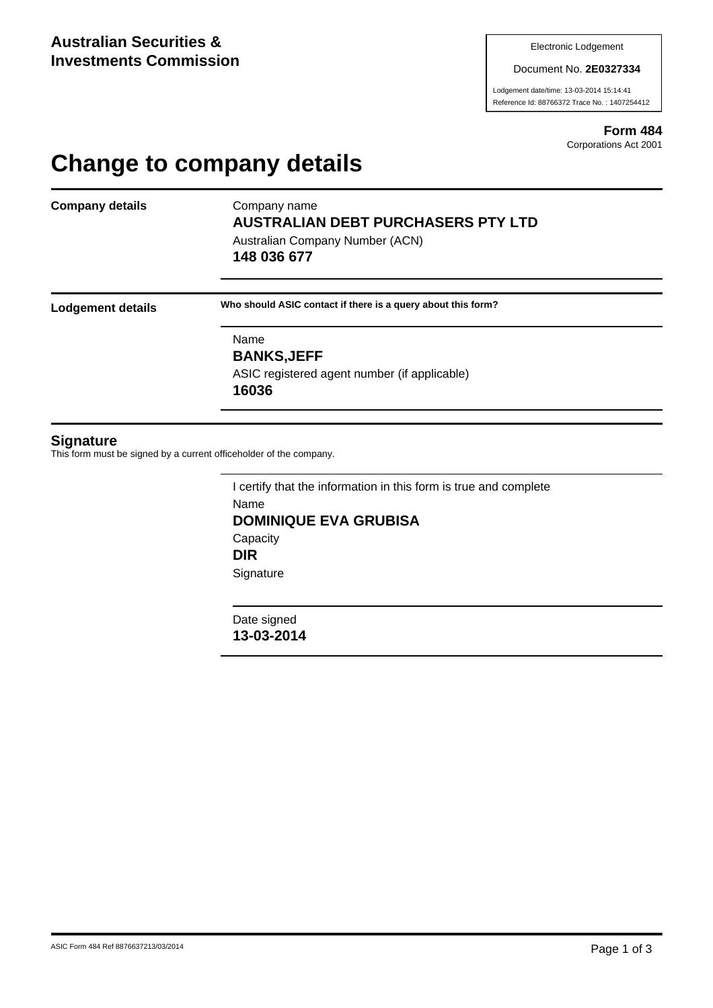Document No. **2E0327334**

Lodgement date/time: 13-03-2014 15:14:41 Reference Id: 88766372 Trace No. : 1407254412

> **Form 484** Corporations Act 2001

## **Change to company details**

**Company details** Company name

## **AUSTRALIAN DEBT PURCHASERS PTY LTD**

Australian Company Number (ACN) **148 036 677**

**Lodgement details Who should ASIC contact if there is a query about this form?**

Name **BANKS,JEFF** ASIC registered agent number (if applicable) **16036**

## **Signature**

This form must be signed by a current officeholder of the company.

I certify that the information in this form is true and complete Name **DOMINIQUE EVA GRUBISA Capacity DIR Signature** 

Date signed **13-03-2014**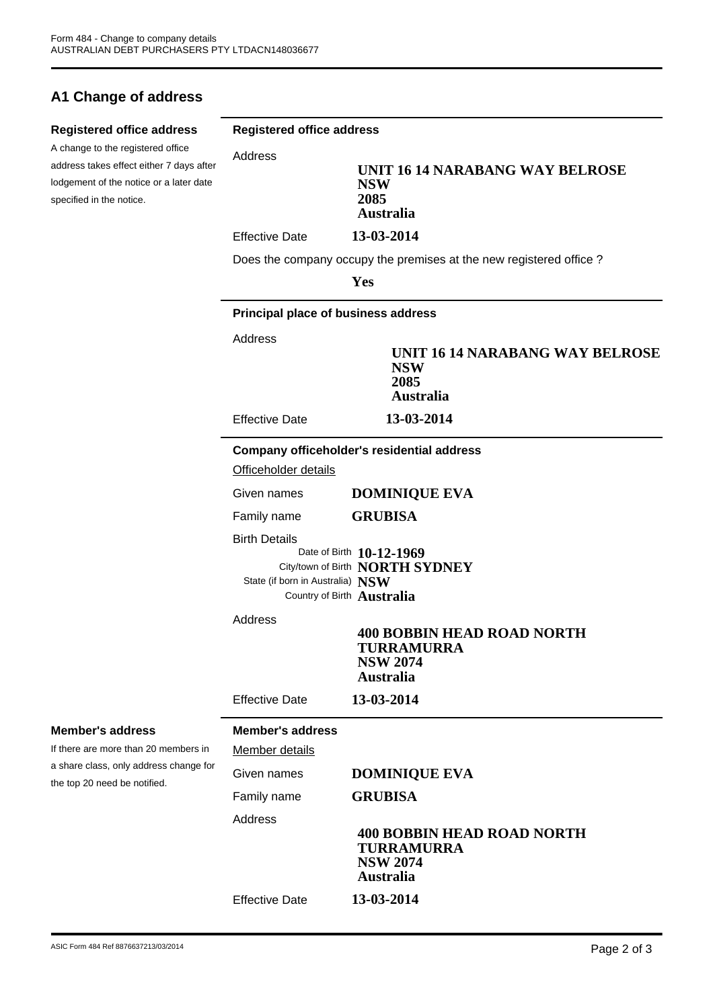## **A1 Change of address**

| <b>Registered office address</b><br>A change to the registered office<br>address takes effect either 7 days after<br>lodgement of the notice or a later date<br>specified in the notice. | <b>Registered office address</b>                         |                                                                                               |  |
|------------------------------------------------------------------------------------------------------------------------------------------------------------------------------------------|----------------------------------------------------------|-----------------------------------------------------------------------------------------------|--|
|                                                                                                                                                                                          | Address                                                  | UNIT 16 14 NARABANG WAY BELROSE<br><b>NSW</b><br>2085<br><b>Australia</b>                     |  |
|                                                                                                                                                                                          | <b>Effective Date</b>                                    | 13-03-2014                                                                                    |  |
|                                                                                                                                                                                          |                                                          | Does the company occupy the premises at the new registered office?                            |  |
|                                                                                                                                                                                          |                                                          | Yes                                                                                           |  |
|                                                                                                                                                                                          | Principal place of business address                      |                                                                                               |  |
|                                                                                                                                                                                          | Address                                                  | UNIT 16 14 NARABANG WAY BELROSE<br><b>NSW</b><br>2085<br><b>Australia</b>                     |  |
|                                                                                                                                                                                          | <b>Effective Date</b>                                    | 13-03-2014                                                                                    |  |
|                                                                                                                                                                                          | Officeholder details                                     | Company officeholder's residential address                                                    |  |
|                                                                                                                                                                                          | Given names                                              | <b>DOMINIQUE EVA</b>                                                                          |  |
|                                                                                                                                                                                          | Family name                                              | <b>GRUBISA</b>                                                                                |  |
|                                                                                                                                                                                          | <b>Birth Details</b><br>State (if born in Australia) NSW | Date of Birth 10-12-1969<br>City/town of Birth NORTH SYDNEY<br>Country of Birth Australia     |  |
|                                                                                                                                                                                          | Address                                                  | <b>400 BOBBIN HEAD ROAD NORTH</b><br>TURRAMURRA<br><b>NSW 2074</b><br><b>Australia</b>        |  |
|                                                                                                                                                                                          | <b>Effective Date</b>                                    | 13-03-2014                                                                                    |  |
| <b>Member's address</b><br>If there are more than 20 members in<br>a share class, only address change for<br>the top 20 need be notified.                                                | <b>Member's address</b>                                  |                                                                                               |  |
|                                                                                                                                                                                          | Member details                                           |                                                                                               |  |
|                                                                                                                                                                                          | Given names                                              | <b>DOMINIQUE EVA</b>                                                                          |  |
|                                                                                                                                                                                          | Family name                                              | <b>GRUBISA</b>                                                                                |  |
|                                                                                                                                                                                          | Address                                                  | <b>400 BOBBIN HEAD ROAD NORTH</b><br><b>TURRAMURRA</b><br><b>NSW 2074</b><br><b>Australia</b> |  |
|                                                                                                                                                                                          | <b>Effective Date</b>                                    | 13-03-2014                                                                                    |  |